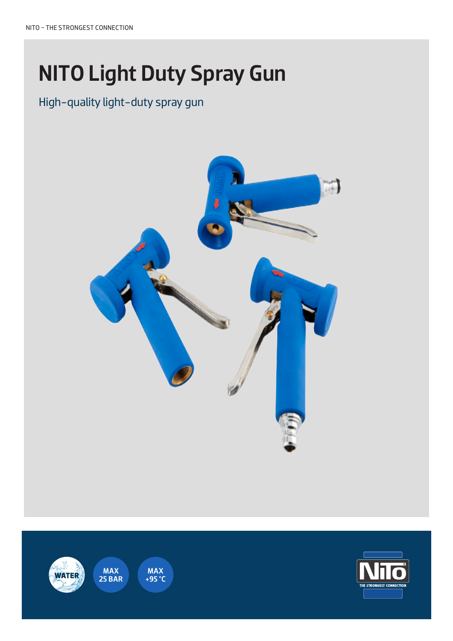# NITO Light Duty Spray Gun

### High-quality light-duty spray gun